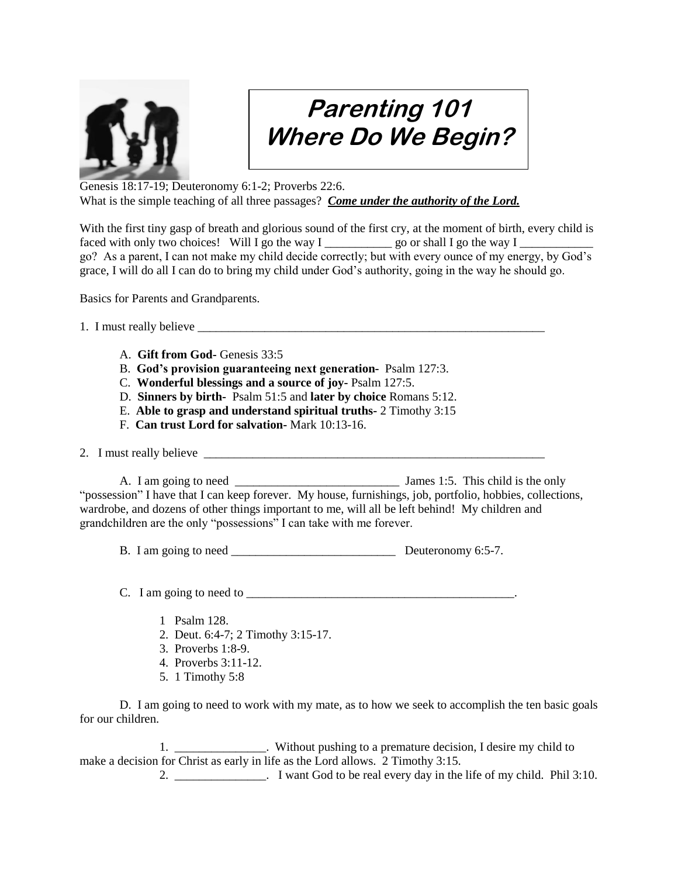

## **Parenting 101 Where Do We Begin?**

Genesis 18:17-19; Deuteronomy 6:1-2; Proverbs 22:6. What is the simple teaching of all three passages? *Come under the authority of the Lord.*

With the first tiny gasp of breath and glorious sound of the first cry, at the moment of birth, every child is faced with only two choices! Will I go the way I \_\_\_\_\_\_\_\_\_\_\_\_\_\_\_\_\_\_\_\_ go or shall I go the way I go? As a parent, I can not make my child decide correctly; but with every ounce of my energy, by God's grace, I will do all I can do to bring my child under God's authority, going in the way he should go.

Basics for Parents and Grandparents.

1. I must really believe

- A. **Gift from God-** Genesis 33:5
- B. **God's provision guaranteeing next generation-** Psalm 127:3.
- C. **Wonderful blessings and a source of joy-** Psalm 127:5.
- D. **Sinners by birth-** Psalm 51:5 and **later by choice** Romans 5:12.
- E. **Able to grasp and understand spiritual truths-** 2 Timothy 3:15
- F. **Can trust Lord for salvation-** Mark 10:13-16.
- 2. I must really believe

A. I am going to need \_\_\_\_\_\_\_\_\_\_\_\_\_\_\_\_\_\_\_\_\_\_\_\_\_\_\_ James 1:5. This child is the only "possession" I have that I can keep forever. My house, furnishings, job, portfolio, hobbies, collections, wardrobe, and dozens of other things important to me, will all be left behind! My children and grandchildren are the only "possessions" I can take with me forever.

B. I am going to need \_\_\_\_\_\_\_\_\_\_\_\_\_\_\_\_\_\_\_\_\_\_\_\_\_\_\_ Deuteronomy 6:5-7.

 $C.$  I am going to need to  $\overline{\phantom{a}}$ 

- 1 Psalm 128.
- 2. Deut. 6:4-7; 2 Timothy 3:15-17.
- 3. Proverbs 1:8-9.
- 4. Proverbs 3:11-12.
- 5. 1 Timothy 5:8

D. I am going to need to work with my mate, as to how we seek to accomplish the ten basic goals for our children.

1. \_\_\_\_\_\_\_\_\_\_\_\_\_\_\_. Without pushing to a premature decision, I desire my child to make a decision for Christ as early in life as the Lord allows. 2 Timothy 3:15.

2. Solution 1 want God to be real every day in the life of my child. Phil 3:10.